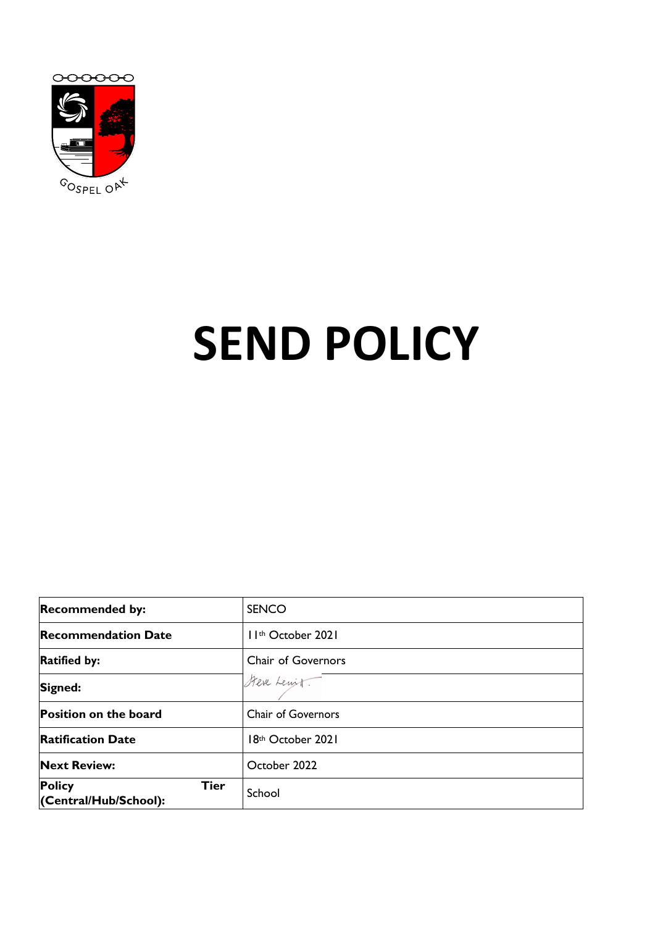

# **SEND POLICY**

| <b>Recommended by:</b>                                | <b>SENCO</b>                   |
|-------------------------------------------------------|--------------------------------|
| <b>Recommendation Date</b>                            | I I <sup>th</sup> October 2021 |
| <b>Ratified by:</b>                                   | Chair of Governors             |
| Signed:                                               | Steve Lewit                    |
| Position on the board                                 | <b>Chair of Governors</b>      |
| <b>Ratification Date</b>                              | 18th October 2021              |
| <b>Next Review:</b>                                   | October 2022                   |
| <b>Policy</b><br><b>Tier</b><br>(Central/Hub/School): | School                         |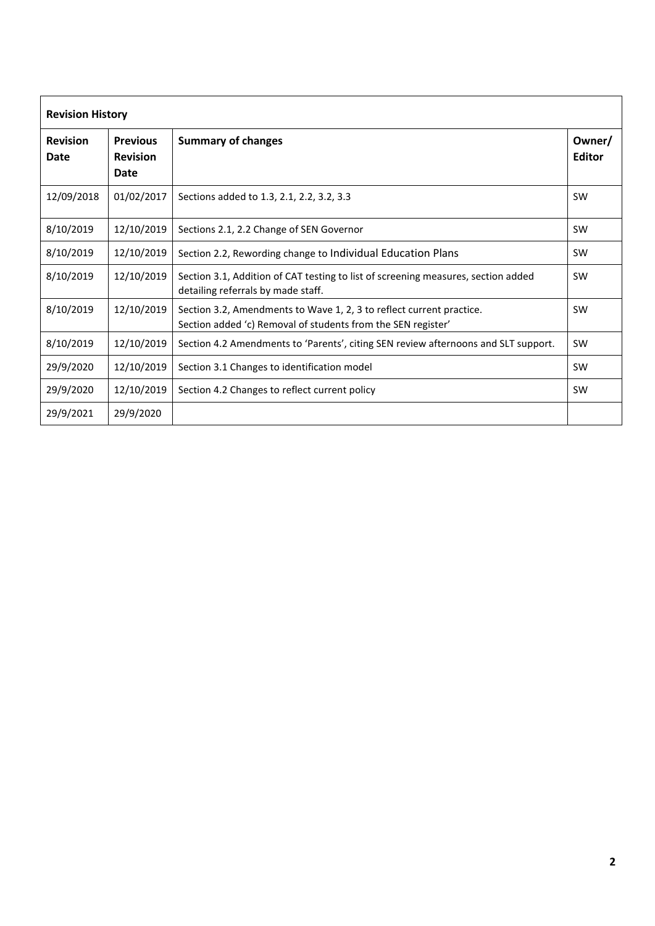| <b>Revision History</b> |                                            |                                                                                                                                      |                         |
|-------------------------|--------------------------------------------|--------------------------------------------------------------------------------------------------------------------------------------|-------------------------|
| <b>Revision</b><br>Date | <b>Previous</b><br><b>Revision</b><br>Date | <b>Summary of changes</b>                                                                                                            | Owner/<br><b>Editor</b> |
| 12/09/2018              | 01/02/2017                                 | Sections added to 1.3, 2.1, 2.2, 3.2, 3.3                                                                                            | <b>SW</b>               |
| 8/10/2019               | 12/10/2019                                 | Sections 2.1, 2.2 Change of SEN Governor                                                                                             | <b>SW</b>               |
| 8/10/2019               | 12/10/2019                                 | Section 2.2, Rewording change to Individual Education Plans                                                                          | SW                      |
| 8/10/2019               | 12/10/2019                                 | Section 3.1, Addition of CAT testing to list of screening measures, section added<br>detailing referrals by made staff.              | <b>SW</b>               |
| 8/10/2019               | 12/10/2019                                 | Section 3.2, Amendments to Wave 1, 2, 3 to reflect current practice.<br>Section added 'c) Removal of students from the SEN register' | SW                      |
| 8/10/2019               | 12/10/2019                                 | Section 4.2 Amendments to 'Parents', citing SEN review afternoons and SLT support.                                                   | <b>SW</b>               |
| 29/9/2020               | 12/10/2019                                 | Section 3.1 Changes to identification model                                                                                          | <b>SW</b>               |
| 29/9/2020               | 12/10/2019                                 | Section 4.2 Changes to reflect current policy                                                                                        | <b>SW</b>               |
| 29/9/2021               | 29/9/2020                                  |                                                                                                                                      |                         |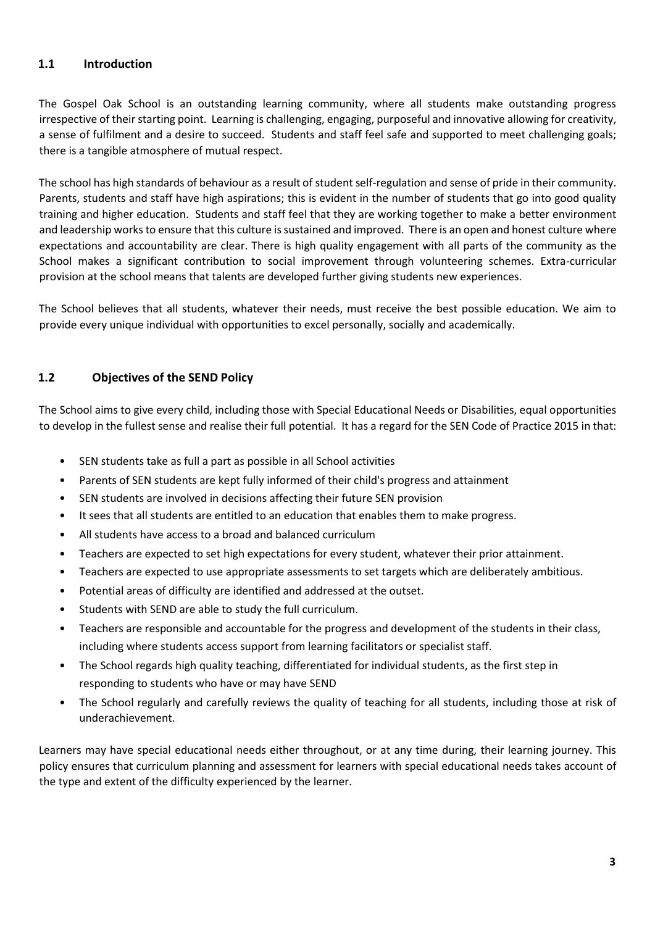## **1.1 Introduction**

The Gospel Oak School is an outstanding learning community, where all students make outstanding progress irrespective of their starting point. Learning is challenging, engaging, purposeful and innovative allowing for creativity, a sense of fulfilment and a desire to succeed. Students and staff feel safe and supported to meet challenging goals; there is a tangible atmosphere of mutual respect.

The school has high standards of behaviour as a result of student self-regulation and sense of pride in their community. Parents, students and staff have high aspirations; this is evident in the number of students that go into good quality training and higher education. Students and staff feel that they are working together to make a better environment and leadership works to ensure that this culture is sustained and improved. There is an open and honest culture where expectations and accountability are clear. There is high quality engagement with all parts of the community as the School makes a significant contribution to social improvement through volunteering schemes. Extra-curricular provision at the school means that talents are developed further giving students new experiences.

The School believes that all students, whatever their needs, must receive the best possible education. We aim to provide every unique individual with opportunities to excel personally, socially and academically.

# **1.2 Objectives of the SEND Policy**

The School aims to give every child, including those with Special Educational Needs or Disabilities, equal opportunities to develop in the fullest sense and realise their full potential. It has a regard for the SEN Code of Practice 2015 in that:

- SEN students take as full a part as possible in all School activities
- Parents of SEN students are kept fully informed of their child's progress and attainment
- SEN students are involved in decisions affecting their future SEN provision
- It sees that all students are entitled to an education that enables them to make progress.
- All students have access to a broad and balanced curriculum
- Teachers are expected to set high expectations for every student, whatever their prior attainment.
- Teachers are expected to use appropriate assessments to set targets which are deliberately ambitious.
- Potential areas of difficulty are identified and addressed at the outset.
- Students with SEND are able to study the full curriculum.
- Teachers are responsible and accountable for the progress and development of the students in their class, including where students access support from learning facilitators or specialist staff.
- The School regards high quality teaching, differentiated for individual students, as the first step in responding to students who have or may have SEND
- The School regularly and carefully reviews the quality of teaching for all students, including those at risk of underachievement.

Learners may have special educational needs either throughout, or at any time during, their learning journey. This policy ensures that curriculum planning and assessment for learners with special educational needs takes account of the type and extent of the difficulty experienced by the learner.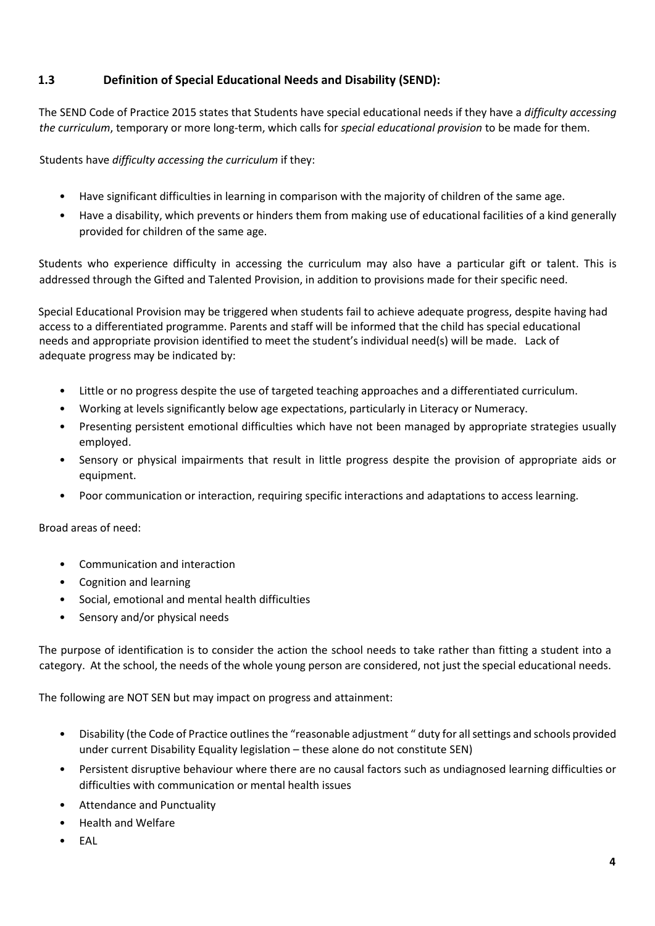# **1.3 Definition of Special Educational Needs and Disability (SEND):**

The SEND Code of Practice 2015 states that Students have special educational needs if they have a *difficulty accessing the curriculum*, temporary or more long-term, which calls for *special educational provision* to be made for them.

Students have *difficulty accessing the curriculum* if they:

- Have significant difficulties in learning in comparison with the majority of children of the same age.
- Have a disability, which prevents or hinders them from making use of educational facilities of a kind generally provided for children of the same age.

Students who experience difficulty in accessing the curriculum may also have a particular gift or talent. This is addressed through the Gifted and Talented Provision, in addition to provisions made for their specific need.

Special Educational Provision may be triggered when students fail to achieve adequate progress, despite having had access to a differentiated programme. Parents and staff will be informed that the child has special educational needs and appropriate provision identified to meet the student's individual need(s) will be made. Lack of adequate progress may be indicated by:

- Little or no progress despite the use of targeted teaching approaches and a differentiated curriculum.
- Working at levels significantly below age expectations, particularly in Literacy or Numeracy.
- Presenting persistent emotional difficulties which have not been managed by appropriate strategies usually employed.
- Sensory or physical impairments that result in little progress despite the provision of appropriate aids or equipment.
- Poor communication or interaction, requiring specific interactions and adaptations to access learning.

Broad areas of need:

- Communication and interaction
- Cognition and learning
- Social, emotional and mental health difficulties
- Sensory and/or physical needs

The purpose of identification is to consider the action the school needs to take rather than fitting a student into a category. At the school, the needs of the whole young person are considered, not just the special educational needs.

The following are NOT SEN but may impact on progress and attainment:

- Disability (the Code of Practice outlines the "reasonable adjustment " duty for all settings and schools provided under current Disability Equality legislation – these alone do not constitute SEN)
- Persistent disruptive behaviour where there are no causal factors such as undiagnosed learning difficulties or difficulties with communication or mental health issues
- Attendance and Punctuality
- Health and Welfare
- EAL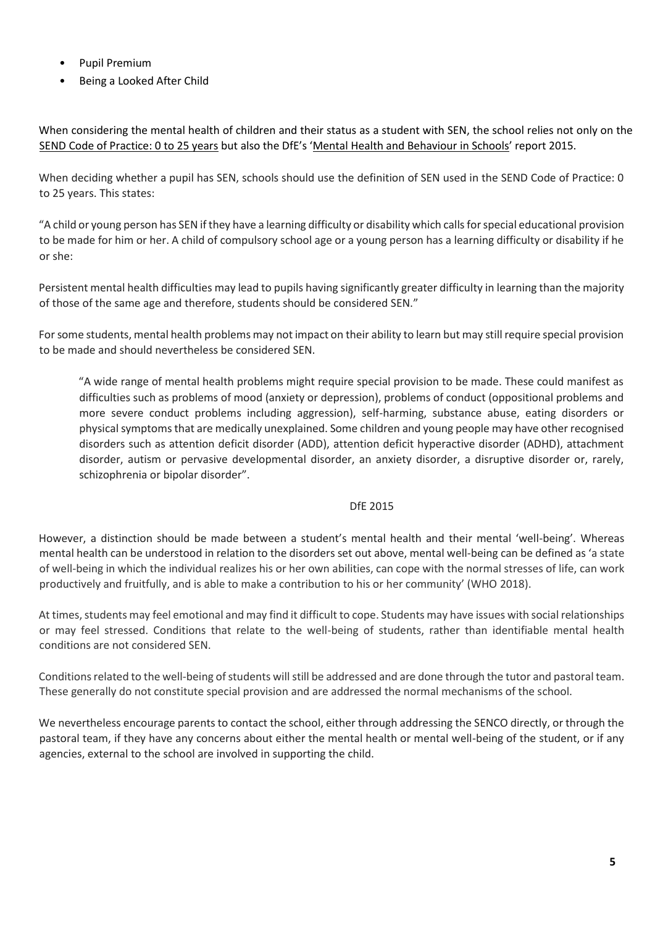- Pupil Premium
- Being a Looked After Child

When considering the mental health of children and their status as a student with SEN, the school relies not only on the [SEND Code of Practice: 0 to 25 years](https://www.gov.uk/government/uploads/system/uploads/attachment_data/file/398815/SEND_Code_of_Practice_January_2015.pdf) but also the DfE's '[Mental Health](https://assets.publishing.service.gov.uk/government/uploads/system/uploads/attachment_data/file/508847/Mental_Health_and_Behaviour_-_advice_for_Schools_160316.pdf) [and Behaviour in Schools](https://assets.publishing.service.gov.uk/government/uploads/system/uploads/attachment_data/file/508847/Mental_Health_and_Behaviour_-_advice_for_Schools_160316.pdf)['](https://assets.publishing.service.gov.uk/government/uploads/system/uploads/attachment_data/file/508847/Mental_Health_and_Behaviour_-_advice_for_Schools_160316.pdf) report 2015.

When deciding whether a pupil has SEN, schools should use the definition of SEN used in the SEND Code of Practice: 0 to 25 years. This states:

"A child or young person has SEN if they have a learning difficulty or disability which calls for special educational provision to be made for him or her. A child of compulsory school age or a young person has a learning difficulty or disability if he or she:

Persistent mental health difficulties may lead to pupils having significantly greater difficulty in learning than the majority of those of the same age and therefore, students should be considered SEN."

For some students, mental health problems may not impact on their ability to learn but may still require special provision to be made and should nevertheless be considered SEN.

"A wide range of mental health problems might require special provision to be made. These could manifest as difficulties such as problems of mood (anxiety or depression), problems of conduct (oppositional problems and more severe conduct problems including aggression), self-harming, substance abuse, eating disorders or physical symptoms that are medically unexplained. Some children and young people may have other recognised disorders such as attention deficit disorder (ADD), attention deficit hyperactive disorder (ADHD), attachment disorder, autism or pervasive developmental disorder, an anxiety disorder, a disruptive disorder or, rarely, schizophrenia or bipolar disorder".

#### DfE 2015

However, a distinction should be made between a student's mental health and their mental 'well-being'. Whereas mental health can be understood in relation to the disorders set out above, mental well-being can be defined as 'a state of well-being in which the individual realizes his or her own abilities, can cope with the normal stresses of life, can work productively and fruitfully, and is able to make a contribution to his or her community' (WHO 2018).

At times, students may feel emotional and may find it difficult to cope. Students may have issues with social relationships or may feel stressed. Conditions that relate to the well-being of students, rather than identifiable mental health conditions are not considered SEN.

Conditions related to the well-being of students will still be addressed and are done through the tutor and pastoral team. These generally do not constitute special provision and are addressed the normal mechanisms of the school.

We nevertheless encourage parents to contact the school, either through addressing the SENCO directly, or through the pastoral team, if they have any concerns about either the mental health or mental well-being of the student, or if any agencies, external to the school are involved in supporting the child.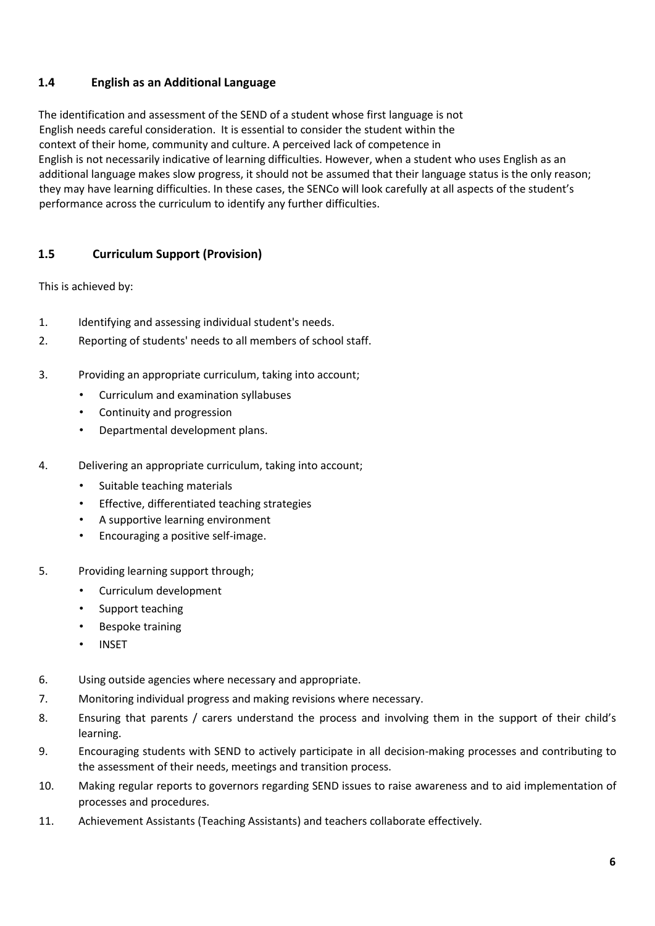# **1.4 English as an Additional Language**

The identification and assessment of the SEND of a student whose first language is not English needs careful consideration. It is essential to consider the student within the context of their home, community and culture. A perceived lack of competence in English is not necessarily indicative of learning difficulties. However, when a student who uses English as an additional language makes slow progress, it should not be assumed that their language status is the only reason; they may have learning difficulties. In these cases, the SENCo will look carefully at all aspects of the student's performance across the curriculum to identify any further difficulties.

# **1.5 Curriculum Support (Provision)**

This is achieved by:

- 1. Identifying and assessing individual student's needs.
- 2. Reporting of students' needs to all members of school staff.
- 3. Providing an appropriate curriculum, taking into account;
	- Curriculum and examination syllabuses
	- Continuity and progression
	- Departmental development plans.
- 4. Delivering an appropriate curriculum, taking into account;
	- Suitable teaching materials
	- Effective, differentiated teaching strategies
	- A supportive learning environment
	- Encouraging a positive self-image.
- 5. Providing learning support through;
	- Curriculum development
	- Support teaching
	- Bespoke training
	- **INSET**
- 6. Using outside agencies where necessary and appropriate.
- 7. Monitoring individual progress and making revisions where necessary.
- 8. Ensuring that parents / carers understand the process and involving them in the support of their child's learning.
- 9. Encouraging students with SEND to actively participate in all decision-making processes and contributing to the assessment of their needs, meetings and transition process.
- 10. Making regular reports to governors regarding SEND issues to raise awareness and to aid implementation of processes and procedures.
- 11. Achievement Assistants (Teaching Assistants) and teachers collaborate effectively.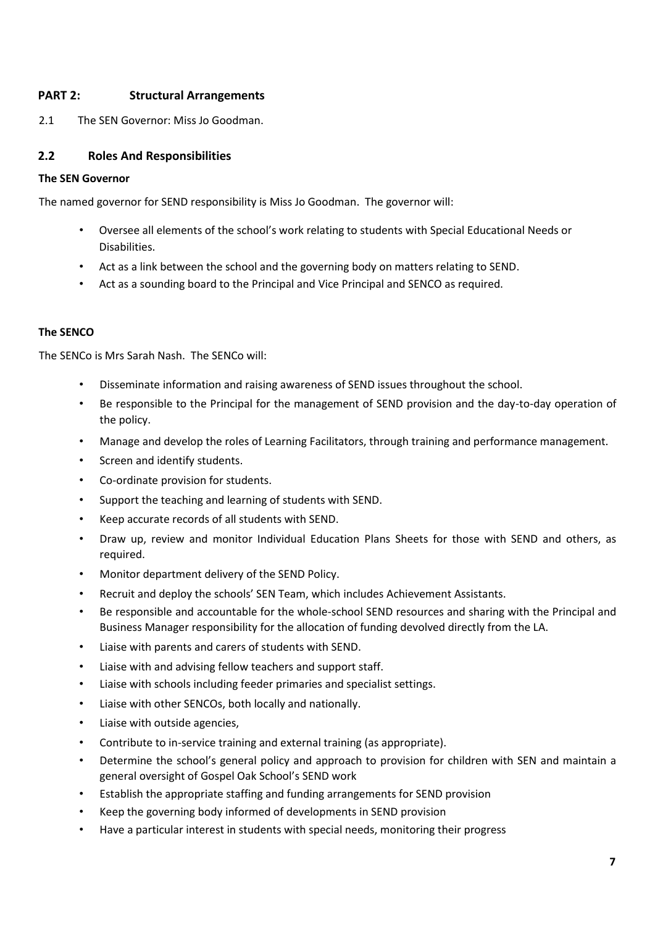## **PART 2: Structural Arrangements**

2.1 The SEN Governor: Miss Jo Goodman.

## **2.2 Roles And Responsibilities**

#### **The SEN Governor**

The named governor for SEND responsibility is Miss Jo Goodman. The governor will:

- Oversee all elements of the school's work relating to students with Special Educational Needs or Disabilities.
- Act as a link between the school and the governing body on matters relating to SEND.
- Act as a sounding board to the Principal and Vice Principal and SENCO as required.

### **The SENCO**

The SENCo is Mrs Sarah Nash. The SENCo will:

- Disseminate information and raising awareness of SEND issues throughout the school.
- Be responsible to the Principal for the management of SEND provision and the day-to-day operation of the policy.
- Manage and develop the roles of Learning Facilitators, through training and performance management.
- Screen and identify students.
- Co-ordinate provision for students.
- Support the teaching and learning of students with SEND.
- Keep accurate records of all students with SEND.
- Draw up, review and monitor Individual Education Plans Sheets for those with SEND and others, as required.
- Monitor department delivery of the SEND Policy.
- Recruit and deploy the schools' SEN Team, which includes Achievement Assistants.
- Be responsible and accountable for the whole-school SEND resources and sharing with the Principal and Business Manager responsibility for the allocation of funding devolved directly from the LA.
- Liaise with parents and carers of students with SEND.
- Liaise with and advising fellow teachers and support staff.
- Liaise with schools including feeder primaries and specialist settings.
- Liaise with other SENCOs, both locally and nationally.
- Liaise with outside agencies,
- Contribute to in-service training and external training (as appropriate).
- Determine the school's general policy and approach to provision for children with SEN and maintain a general oversight of Gospel Oak School's SEND work
- Establish the appropriate staffing and funding arrangements for SEND provision
- Keep the governing body informed of developments in SEND provision
- Have a particular interest in students with special needs, monitoring their progress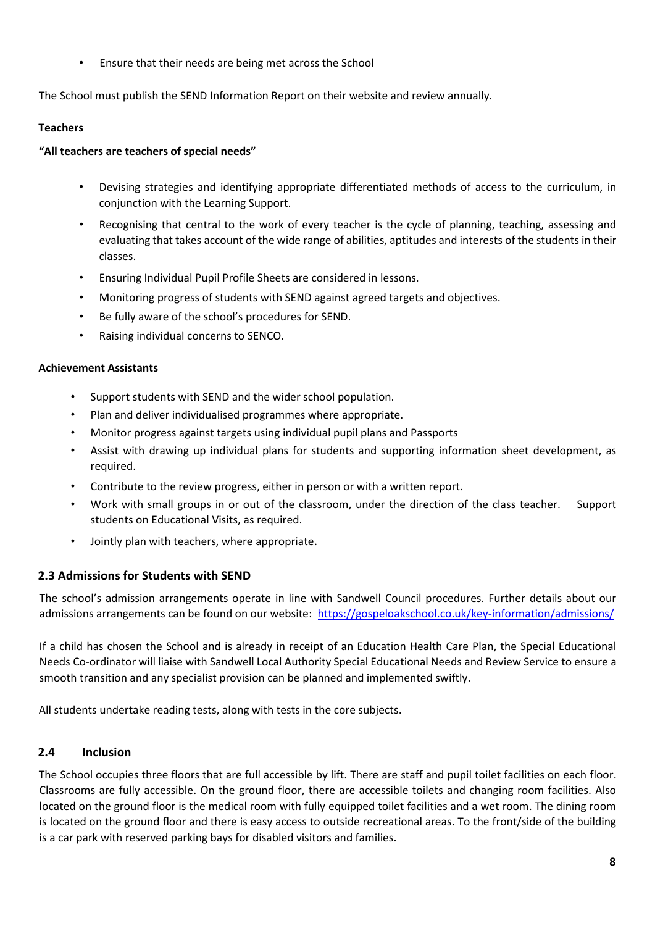• Ensure that their needs are being met across the School

The School must publish the SEND Information Report on their website and review annually.

## **Teachers**

## **"All teachers are teachers of special needs"**

- Devising strategies and identifying appropriate differentiated methods of access to the curriculum, in conjunction with the Learning Support.
- Recognising that central to the work of every teacher is the cycle of planning, teaching, assessing and evaluating that takes account of the wide range of abilities, aptitudes and interests of the students in their classes.
- Ensuring Individual Pupil Profile Sheets are considered in lessons.
- Monitoring progress of students with SEND against agreed targets and objectives.
- Be fully aware of the school's procedures for SEND.
- Raising individual concerns to SENCO.

### **Achievement Assistants**

- Support students with SEND and the wider school population.
- Plan and deliver individualised programmes where appropriate.
- Monitor progress against targets using individual pupil plans and Passports
- Assist with drawing up individual plans for students and supporting information sheet development, as required.
- Contribute to the review progress, either in person or with a written report.
- Work with small groups in or out of the classroom, under the direction of the class teacher. Support students on Educational Visits, as required.
- Jointly plan with teachers, where appropriate.

# **2.3 Admissions for Students with SEND**

The school's admission arrangements operate in line with Sandwell Council procedures. Further details about our admissions arrangements can be found on our website[:](http://rsaacademy.org/home/admissions/) <https://gospeloakschool.co.uk/key-information/admissions/>

[If](http://rsaacademy.org/home/admissions/) a child has chosen the School and is already in receipt of an Education Health Care Plan, the Special Educational Needs Co-ordinator will liaise with Sandwell Local Authority Special Educational Needs and Review Service to ensure a smooth transition and any specialist provision can be planned and implemented swiftly.

All students undertake reading tests, along with tests in the core subjects.

# **2.4 Inclusion**

The School occupies three floors that are full accessible by lift. There are staff and pupil toilet facilities on each floor. Classrooms are fully accessible. On the ground floor, there are accessible toilets and changing room facilities. Also located on the ground floor is the medical room with fully equipped toilet facilities and a wet room. The dining room is located on the ground floor and there is easy access to outside recreational areas. To the front/side of the building is a car park with reserved parking bays for disabled visitors and families.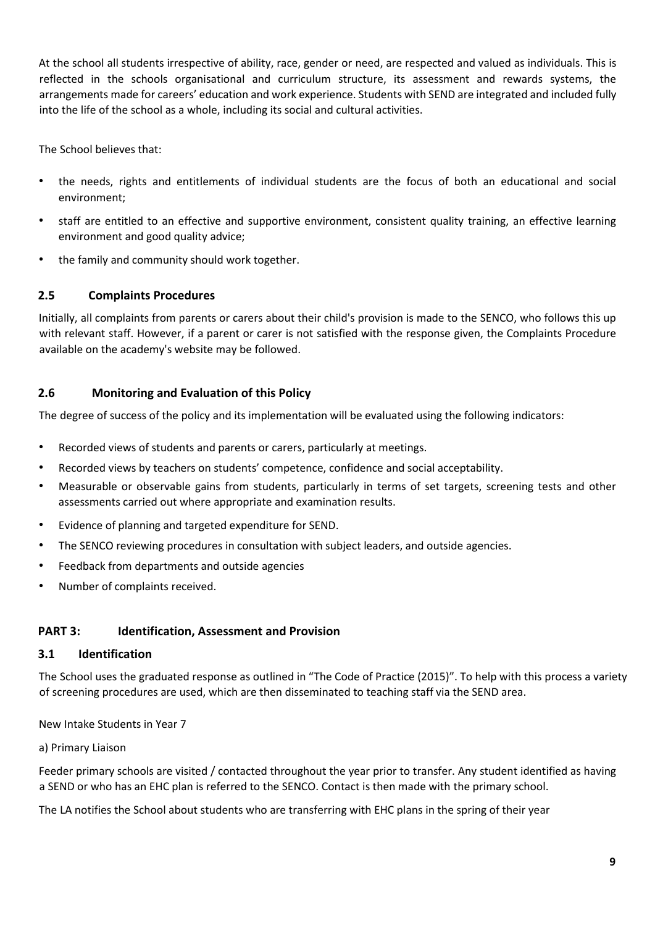At the school all students irrespective of ability, race, gender or need, are respected and valued as individuals. This is reflected in the schools organisational and curriculum structure, its assessment and rewards systems, the arrangements made for careers' education and work experience. Students with SEND are integrated and included fully into the life of the school as a whole, including its social and cultural activities.

The School believes that:

- the needs, rights and entitlements of individual students are the focus of both an educational and social environment;
- staff are entitled to an effective and supportive environment, consistent quality training, an effective learning environment and good quality advice;
- the family and community should work together.

# **2.5 Complaints Procedures**

Initially, all complaints from parents or carers about their child's provision is made to the SENCO, who follows this up with relevant staff. However, if a parent or carer is not satisfied with the response given, the Complaints Procedure available on the academy's website may be followed.

## **2.6 Monitoring and Evaluation of this Policy**

The degree of success of the policy and its implementation will be evaluated using the following indicators:

- Recorded views of students and parents or carers, particularly at meetings.
- Recorded views by teachers on students' competence, confidence and social acceptability.
- Measurable or observable gains from students, particularly in terms of set targets, screening tests and other assessments carried out where appropriate and examination results.
- Evidence of planning and targeted expenditure for SEND.
- The SENCO reviewing procedures in consultation with subject leaders, and outside agencies.
- Feedback from departments and outside agencies
- Number of complaints received.

### **PART 3: Identification, Assessment and Provision**

#### **3.1 Identification**

The School uses the graduated response as outlined in "The Code of Practice (2015)". To help with this process a variety of screening procedures are used, which are then disseminated to teaching staff via the SEND area.

New Intake Students in Year 7

#### a) Primary Liaison

Feeder primary schools are visited / contacted throughout the year prior to transfer. Any student identified as having a SEND or who has an EHC plan is referred to the SENCO. Contact is then made with the primary school.

The LA notifies the School about students who are transferring with EHC plans in the spring of their year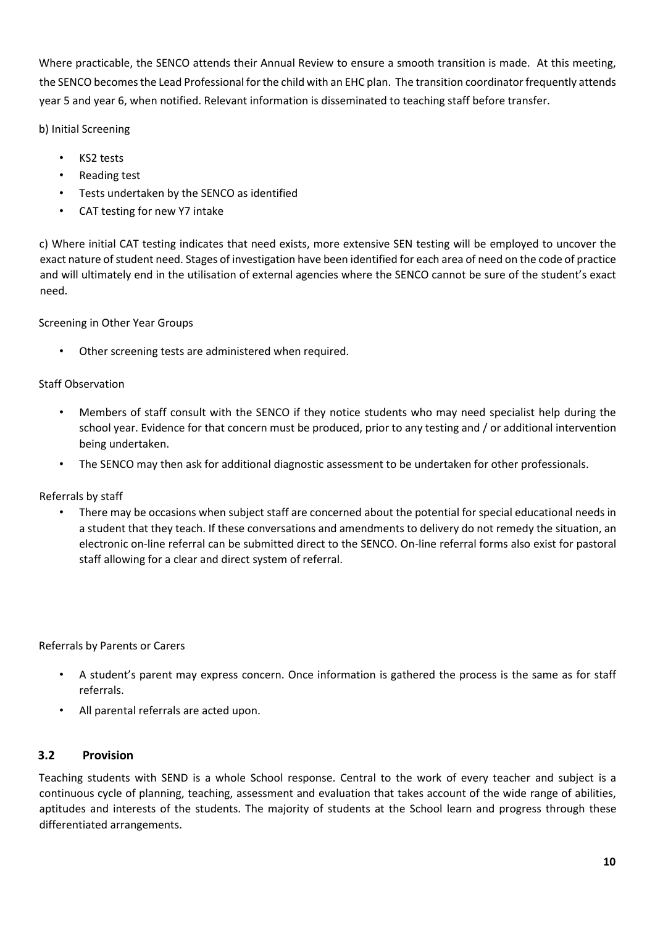Where practicable, the SENCO attends their Annual Review to ensure a smooth transition is made. At this meeting, the SENCO becomes the Lead Professional for the child with an EHC plan. The transition coordinator frequently attends year 5 and year 6, when notified. Relevant information is disseminated to teaching staff before transfer.

b) Initial Screening

- KS2 tests
- Reading test
- Tests undertaken by the SENCO as identified
- CAT testing for new Y7 intake

c) Where initial CAT testing indicates that need exists, more extensive SEN testing will be employed to uncover the exact nature of student need. Stages of investigation have been identified for each area of need on the code of practice and will ultimately end in the utilisation of external agencies where the SENCO cannot be sure of the student's exact need.

Screening in Other Year Groups

Other screening tests are administered when required.

### Staff Observation

- Members of staff consult with the SENCO if they notice students who may need specialist help during the school year. Evidence for that concern must be produced, prior to any testing and / or additional intervention being undertaken.
- The SENCO may then ask for additional diagnostic assessment to be undertaken for other professionals.

Referrals by staff

• There may be occasions when subject staff are concerned about the potential for special educational needs in a student that they teach. If these conversations and amendments to delivery do not remedy the situation, an electronic on-line referral can be submitted direct to the SENCO. On-line referral forms also exist for pastoral staff allowing for a clear and direct system of referral.

Referrals by Parents or Carers

- A student's parent may express concern. Once information is gathered the process is the same as for staff referrals.
- All parental referrals are acted upon.

### **3.2 Provision**

Teaching students with SEND is a whole School response. Central to the work of every teacher and subject is a continuous cycle of planning, teaching, assessment and evaluation that takes account of the wide range of abilities, aptitudes and interests of the students. The majority of students at the School learn and progress through these differentiated arrangements.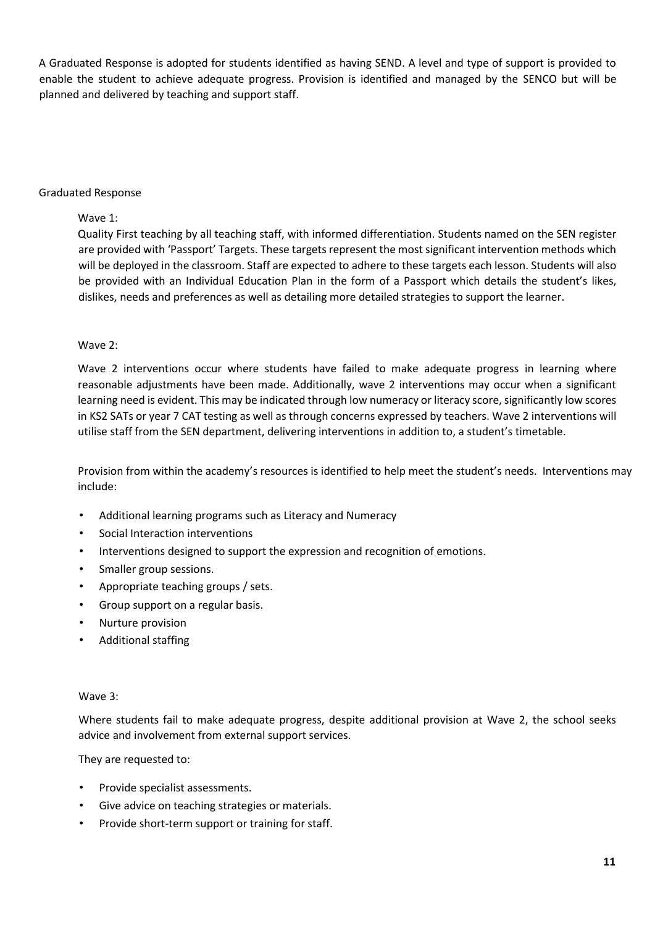A Graduated Response is adopted for students identified as having SEND. A level and type of support is provided to enable the student to achieve adequate progress. Provision is identified and managed by the SENCO but will be planned and delivered by teaching and support staff.

#### Graduated Response

#### Wave 1:

Quality First teaching by all teaching staff, with informed differentiation. Students named on the SEN register are provided with 'Passport' Targets. These targets represent the most significant intervention methods which will be deployed in the classroom. Staff are expected to adhere to these targets each lesson. Students will also be provided with an Individual Education Plan in the form of a Passport which details the student's likes, dislikes, needs and preferences as well as detailing more detailed strategies to support the learner.

#### Wave 2:

Wave 2 interventions occur where students have failed to make adequate progress in learning where reasonable adjustments have been made. Additionally, wave 2 interventions may occur when a significant learning need is evident. This may be indicated through low numeracy or literacy score, significantly low scores in KS2 SATs or year 7 CAT testing as well as through concerns expressed by teachers. Wave 2 interventions will utilise staff from the SEN department, delivering interventions in addition to, a student's timetable.

Provision from within the academy's resources is identified to help meet the student's needs. Interventions may include:

- Additional learning programs such as Literacy and Numeracy
- Social Interaction interventions
- Interventions designed to support the expression and recognition of emotions.
- Smaller group sessions.
- Appropriate teaching groups / sets.
- Group support on a regular basis.
- Nurture provision
- Additional staffing

#### Wave 3:

Where students fail to make adequate progress, despite additional provision at Wave 2, the school seeks advice and involvement from external support services.

They are requested to:

- Provide specialist assessments.
- Give advice on teaching strategies or materials.
- Provide short-term support or training for staff.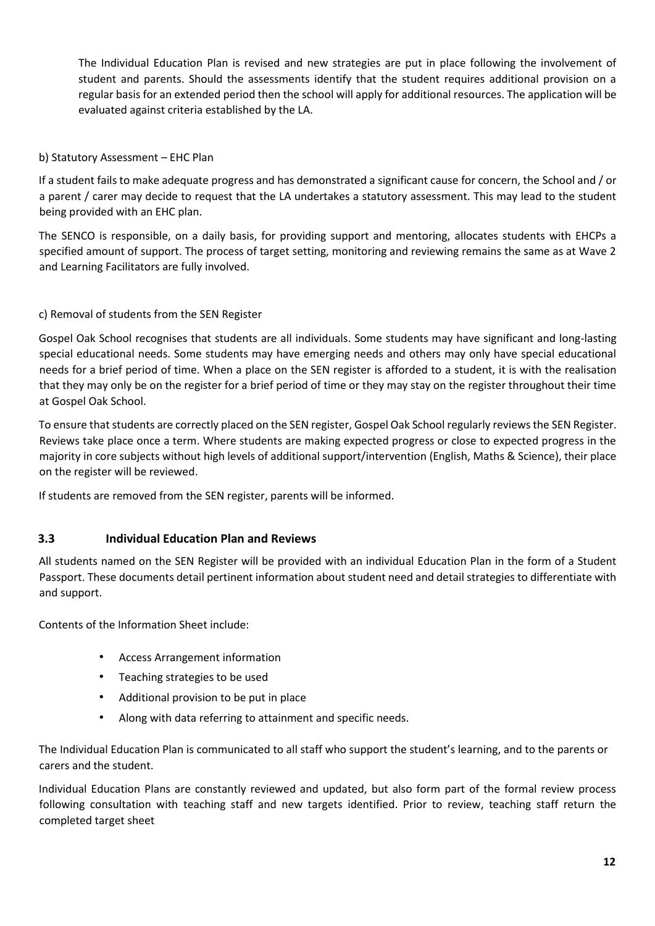The Individual Education Plan is revised and new strategies are put in place following the involvement of student and parents. Should the assessments identify that the student requires additional provision on a regular basis for an extended period then the school will apply for additional resources. The application will be evaluated against criteria established by the LA.

### b) Statutory Assessment – EHC Plan

If a student fails to make adequate progress and has demonstrated a significant cause for concern, the School and / or a parent / carer may decide to request that the LA undertakes a statutory assessment. This may lead to the student being provided with an EHC plan.

The SENCO is responsible, on a daily basis, for providing support and mentoring, allocates students with EHCPs a specified amount of support. The process of target setting, monitoring and reviewing remains the same as at Wave 2 and Learning Facilitators are fully involved.

### c) Removal of students from the SEN Register

Gospel Oak School recognises that students are all individuals. Some students may have significant and long-lasting special educational needs. Some students may have emerging needs and others may only have special educational needs for a brief period of time. When a place on the SEN register is afforded to a student, it is with the realisation that they may only be on the register for a brief period of time or they may stay on the register throughout their time at Gospel Oak School.

To ensure that students are correctly placed on the SEN register, Gospel Oak School regularly reviews the SEN Register. Reviews take place once a term. Where students are making expected progress or close to expected progress in the majority in core subjects without high levels of additional support/intervention (English, Maths & Science), their place on the register will be reviewed.

If students are removed from the SEN register, parents will be informed.

### **3.3 Individual Education Plan and Reviews**

All students named on the SEN Register will be provided with an individual Education Plan in the form of a Student Passport. These documents detail pertinent information about student need and detail strategies to differentiate with and support.

Contents of the Information Sheet include:

- Access Arrangement information
- Teaching strategies to be used
- Additional provision to be put in place
- Along with data referring to attainment and specific needs.

The Individual Education Plan is communicated to all staff who support the student's learning, and to the parents or carers and the student.

Individual Education Plans are constantly reviewed and updated, but also form part of the formal review process following consultation with teaching staff and new targets identified. Prior to review, teaching staff return the completed target sheet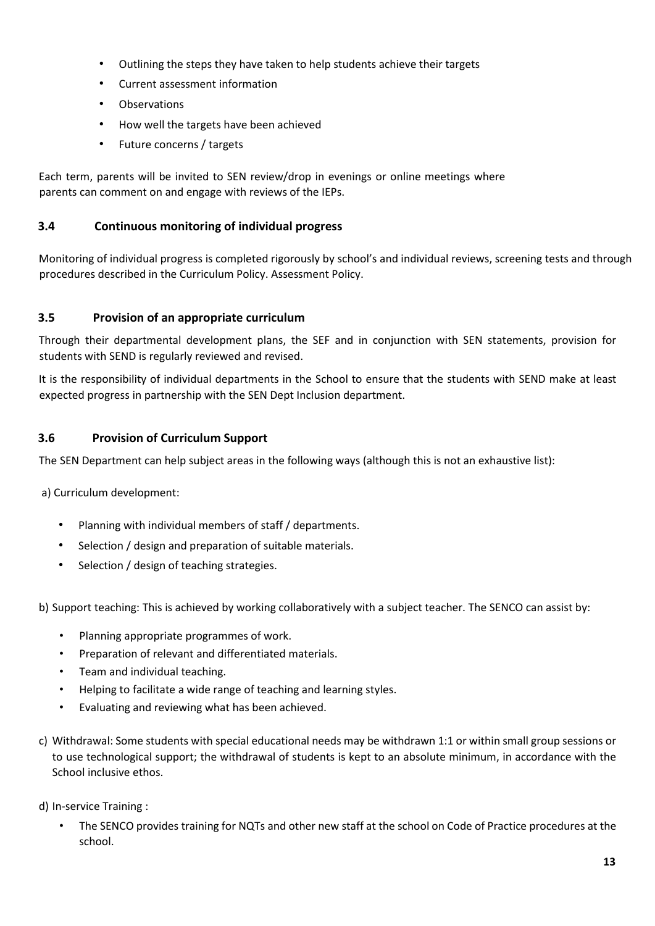- Outlining the steps they have taken to help students achieve their targets
- Current assessment information
- Observations
- How well the targets have been achieved
- Future concerns / targets

Each term, parents will be invited to SEN review/drop in evenings or online meetings where parents can comment on and engage with reviews of the IEPs.

## **3.4 Continuous monitoring of individual progress**

Monitoring of individual progress is completed rigorously by school's and individual reviews, screening tests and through procedures described in the Curriculum Policy. Assessment Policy.

### **3.5 Provision of an appropriate curriculum**

Through their departmental development plans, the SEF and in conjunction with SEN statements, provision for students with SEND is regularly reviewed and revised.

It is the responsibility of individual departments in the School to ensure that the students with SEND make at least expected progress in partnership with the SEN Dept Inclusion department.

### **3.6 Provision of Curriculum Support**

The SEN Department can help subject areas in the following ways (although this is not an exhaustive list):

a) Curriculum development:

- Planning with individual members of staff / departments.
- Selection / design and preparation of suitable materials.
- Selection / design of teaching strategies.

b) Support teaching: This is achieved by working collaboratively with a subject teacher. The SENCO can assist by:

- Planning appropriate programmes of work.
- Preparation of relevant and differentiated materials.
- Team and individual teaching.
- Helping to facilitate a wide range of teaching and learning styles.
- Evaluating and reviewing what has been achieved.
- c) Withdrawal: Some students with special educational needs may be withdrawn 1:1 or within small group sessions or to use technological support; the withdrawal of students is kept to an absolute minimum, in accordance with the School inclusive ethos.
- d) In-service Training :
	- The SENCO provides training for NQTs and other new staff at the school on Code of Practice procedures at the school.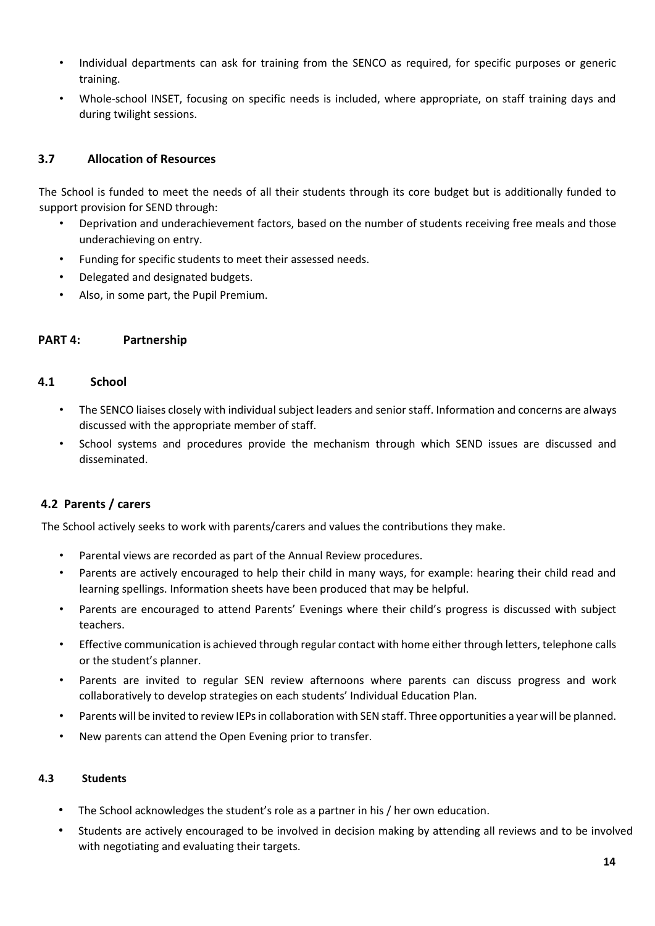- Individual departments can ask for training from the SENCO as required, for specific purposes or generic training.
- Whole-school INSET, focusing on specific needs is included, where appropriate, on staff training days and during twilight sessions.

# **3.7 Allocation of Resources**

The School is funded to meet the needs of all their students through its core budget but is additionally funded to support provision for SEND through:

- Deprivation and underachievement factors, based on the number of students receiving free meals and those underachieving on entry.
- Funding for specific students to meet their assessed needs.
- Delegated and designated budgets.
- Also, in some part, the Pupil Premium.

# **PART 4: Partnership**

#### **4.1 School**

- The SENCO liaises closely with individual subject leaders and senior staff. Information and concerns are always discussed with the appropriate member of staff.
- School systems and procedures provide the mechanism through which SEND issues are discussed and disseminated.

# **4.2 Parents / carers**

The School actively seeks to work with parents/carers and values the contributions they make.

- Parental views are recorded as part of the Annual Review procedures.
- Parents are actively encouraged to help their child in many ways, for example: hearing their child read and learning spellings. Information sheets have been produced that may be helpful.
- Parents are encouraged to attend Parents' Evenings where their child's progress is discussed with subject teachers.
- Effective communication is achieved through regular contact with home either through letters, telephone calls or the student's planner.
- Parents are invited to regular SEN review afternoons where parents can discuss progress and work collaboratively to develop strategies on each students' Individual Education Plan.
- Parents will be invited to review IEPs in collaboration with SEN staff. Three opportunities a year will be planned.
- New parents can attend the Open Evening prior to transfer.

### **4.3 Students**

- The School acknowledges the student's role as a partner in his / her own education.
- Students are actively encouraged to be involved in decision making by attending all reviews and to be involved with negotiating and evaluating their targets.